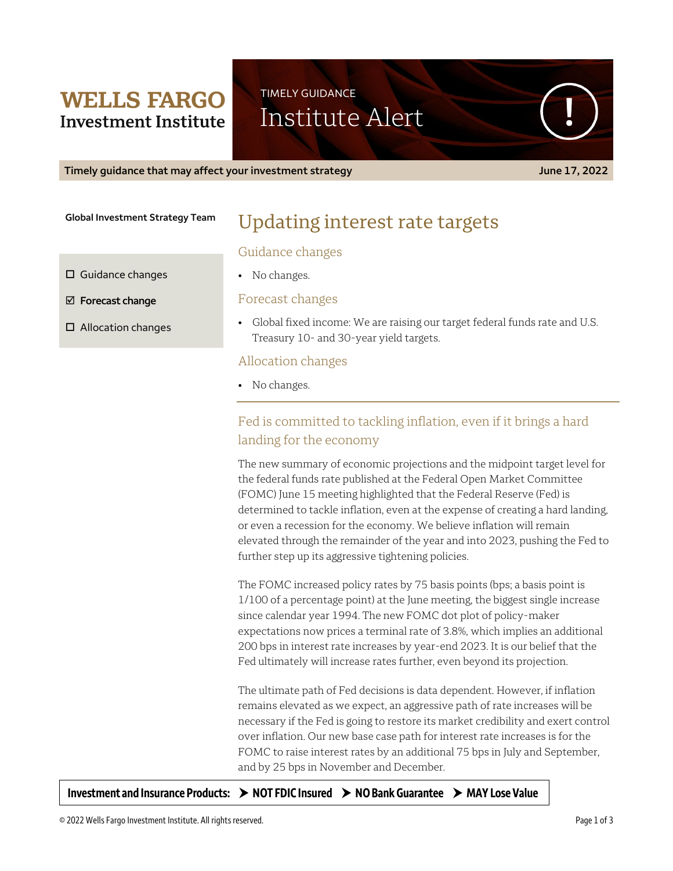## **WELLS FARGO Investment Institute**

**Global Investment Strategy Team**

# Updating interest rate targets

### Guidance changes

• No changes.

Forecast changes

• Global fixed income: We are raising our target federal funds rate and U.S. Treasury 10- and 30-year yield targets.

### Allocation changes

• No changes.

### Fed is committed to tackling inflation, even if it brings a hard landing for the economy

The new summary of economic projections and the midpoint target level for the federal funds rate published at the Federal Open Market Committee (FOMC) June 15 meeting highlighted that the Federal Reserve (Fed) is determined to tackle inflation, even at the expense of creating a hard landing, or even a recession for the economy. We believe inflation will remain elevated through the remainder of the year and into 2023, pushing the Fed to further step up its aggressive tightening policies.

The FOMC increased policy rates by 75 basis points (bps; a basis point is 1/100 of a percentage point) at the June meeting, the biggest single increase since calendar year 1994. The new FOMC dot plot of policy-maker expectations now prices a terminal rate of 3.8%, which implies an additional 200 bps in interest rate increases by year-end 2023. It is our belief that the Fed ultimately will increase rates further, even beyond its projection.

The ultimate path of Fed decisions is data dependent. However, if inflation remains elevated as we expect, an aggressive path of rate increases will be necessary if the Fed is going to restore its market credibility and exert control over inflation. Our new base case path for interest rate increases is for the FOMC to raise interest rates by an additional 75 bps in July and September, and by 25 bps in November and December.

**Investment and Insurance Products: NOT FDIC Insured NO Bank Guarantee MAY Lose Value**

© 2022 Wells Fargo Investment Institute. All rights reserved. Page 1 of 3

**Timely guidance that may affect your investment strategy June 17, 2022**

TIMELY GUIDANCE Institute Alert

 $\square$  Guidance changes

**Forecast change**

□ Allocation changes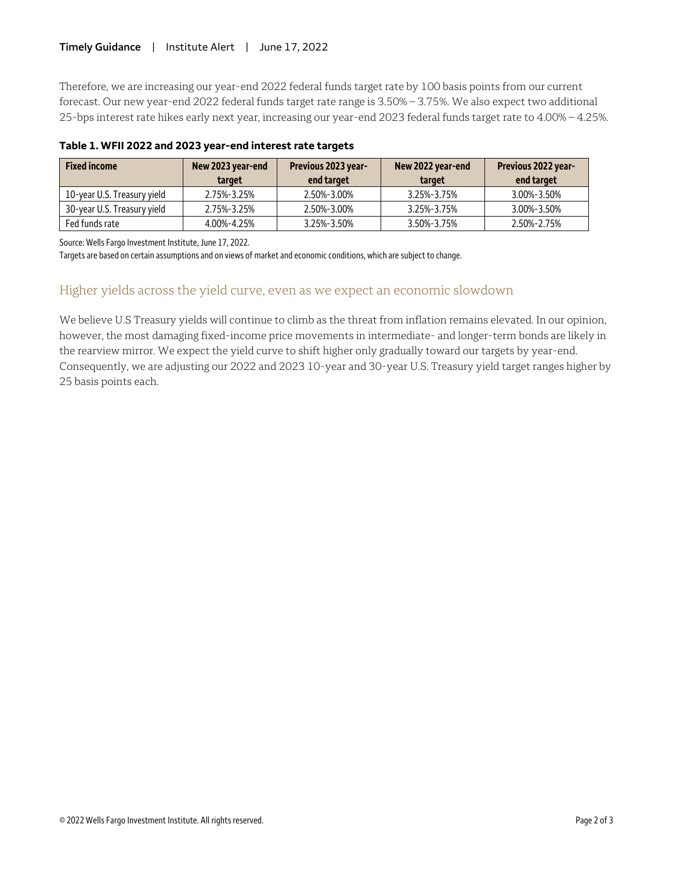Therefore, we are increasing our year-end 2022 federal funds target rate by 100 basis points from our current forecast. Our new year-end 2022 federal funds target rate range is 3.50% – 3.75%. We also expect two additional 25-bps interest rate hikes early next year, increasing our year-end 2023 federal funds target rate to 4.00% – 4.25%.

| <b>Fixed income</b>         | New 2023 year-end<br>target | Previous 2023 year-<br>end target | New 2022 year-end<br>target | Previous 2022 year-<br>end target |
|-----------------------------|-----------------------------|-----------------------------------|-----------------------------|-----------------------------------|
| 10-year U.S. Treasury yield | 2.75%-3.25%                 | 2.50%-3.00%                       | 3.25%-3.75%                 | 3.00%-3.50%                       |
| 30-year U.S. Treasury yield | 2.75%-3.25%                 | 2.50%-3.00%                       | 3.25%-3.75%                 | 3.00%-3.50%                       |
| Fed funds rate              | 4.00%-4.25%                 | 3.25%-3.50%                       | 3.50%-3.75%                 | 2.50%-2.75%                       |

### **Table 1. WFII 2022 and 2023 year-end interest rate targets**

Source: Wells Fargo Investment Institute, June 17, 2022.

Targets are based on certain assumptions and on views of market and economic conditions, which are subject to change.

### Higher yields across the yield curve, even as we expect an economic slowdown

We believe U.S Treasury yields will continue to climb as the threat from inflation remains elevated. In our opinion, however, the most damaging fixed-income price movements in intermediate- and longer-term bonds are likely in the rearview mirror. We expect the yield curve to shift higher only gradually toward our targets by year-end. Consequently, we are adjusting our 2022 and 2023 10-year and 30-year U.S. Treasury yield target ranges higher by 25 basis points each.